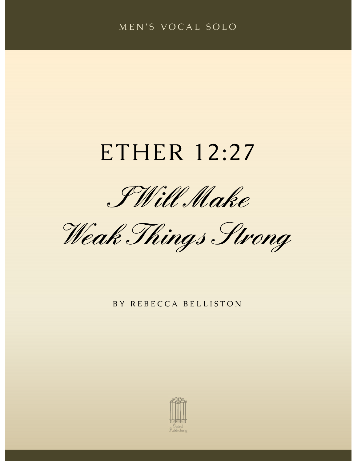#### MEN'S VOCAL SOLO

# ETHER 12:27

I Will Make

Weak Things Strong

BY REBECCA BELLISTON

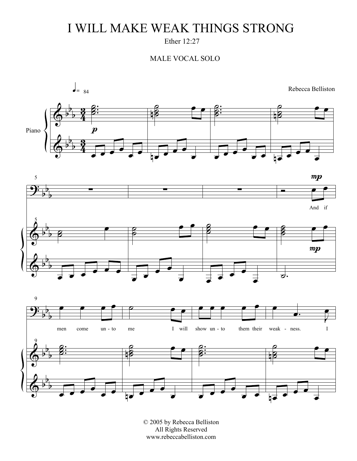## I WILL MAKE WEAK THINGS STRONG

Ether 12:27

#### MALE VOCAL SOLO



© 2005 by Rebecca Belliston All Rights Reserved www.rebeccabelliston.com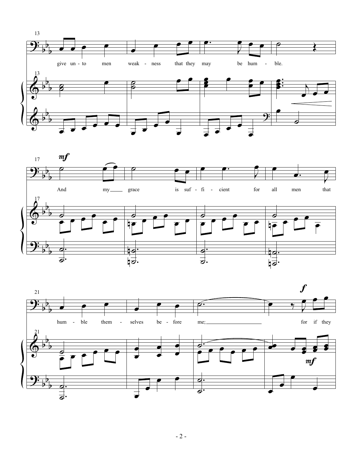



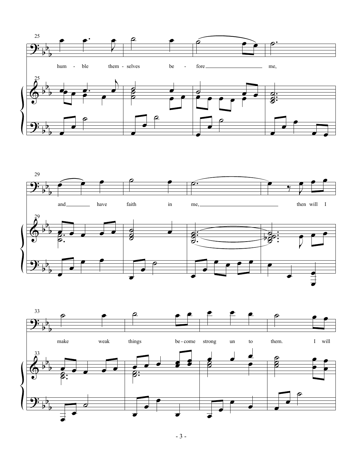



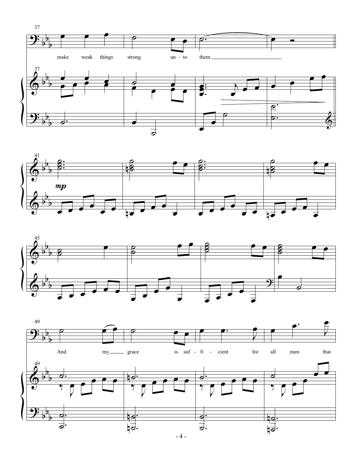





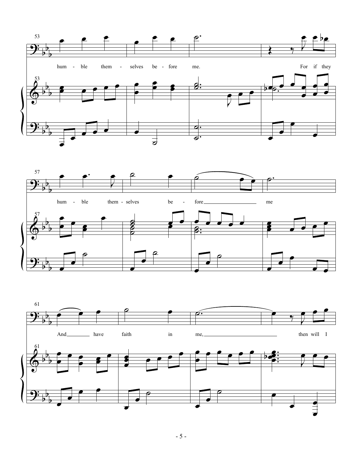



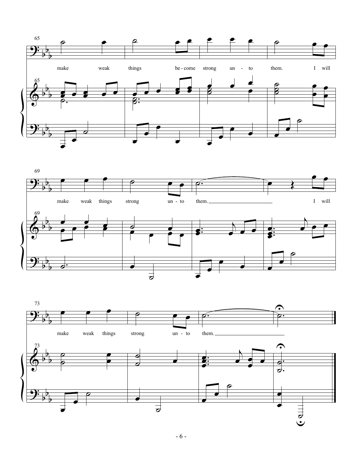